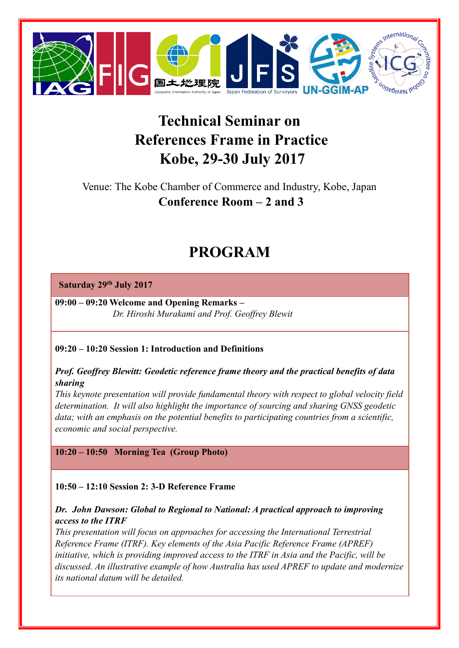

# **Technical Seminar on References Frame in Practice Kobe, 29-30 July 2017**

Venue: The Kobe Chamber of Commerce and Industry, Kobe, Japan **Conference Room – 2 and 3**

# **PROGRAM**

# **Saturday 29th July 2017**

**09:00 – 09:20 Welcome and Opening Remarks –**  *Dr. Hiroshi Murakami and Prof. Geoffrey Blewit*

#### **09:20 – 10:20 Session 1: Introduction and Definitions**

*Prof. Geoffrey Blewitt: Geodetic reference frame theory and the practical benefits of data sharing*

*This keynote presentation will provide fundamental theory with respect to global velocity field determination. It will also highlight the importance of sourcing and sharing GNSS geodetic data; with an emphasis on the potential benefits to participating countries from a scientific, economic and social perspective.*

# **10:20 – 10:50 Morning Tea (Group Photo)**

# **10:50 – 12:10 Session 2: 3-D Reference Frame**

# *Dr. John Dawson: Global to Regional to National: A practical approach to improving access to the ITRF*

*This presentation will focus on approaches for accessing the International Terrestrial Reference Frame (ITRF). Key elements of the Asia Pacific Reference Frame (APREF) initiative, which is providing improved access to the ITRF in Asia and the Pacific, will be discussed. An illustrative example of how Australia has used APREF to update and modernize its national datum will be detailed.*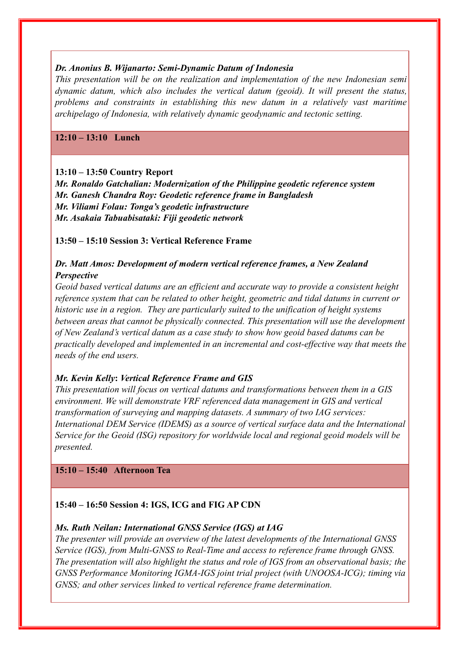#### *Dr. Anonius B. Wijanarto: Semi-Dynamic Datum of Indonesia*

*This presentation will be on the realization and implementation of the new Indonesian semi dynamic datum, which also includes the vertical datum (geoid). It will present the status, problems and constraints in establishing this new datum in a relatively vast maritime archipelago of Indonesia, with relatively dynamic geodynamic and tectonic setting.*

#### **12:10 – 13:10 Lunch**

#### **13:10 – 13:50 Country Report**

*Mr. Ronaldo Gatchalian: Modernization of the Philippine geodetic reference system Mr. Ganesh Chandra Roy: Geodetic reference frame in Bangladesh Mr. Viliami Folau: Tonga's geodetic infrastructure Mr. Asakaia Tabuabisataki: Fiji geodetic network*

**13:50 – 15:10 Session 3: Vertical Reference Frame**

#### *Dr. Matt Amos: Development of modern vertical reference frames, a New Zealand Perspective*

*Geoid based vertical datums are an efficient and accurate way to provide a consistent height reference system that can be related to other height, geometric and tidal datums in current or historic use in a region. They are particularly suited to the unification of height systems between areas that cannot be physically connected. This presentation will use the development of New Zealand's vertical datum as a case study to show how geoid based datums can be practically developed and implemented in an incremental and cost-effective way that meets the needs of the end users.*

#### *Mr. Kevin Kelly***:** *Vertical Reference Frame and GIS*

*This presentation will focus on vertical datums and transformations between them in a GIS environment. We will demonstrate VRF referenced data management in GIS and vertical transformation of surveying and mapping datasets. A summary of two IAG services: International DEM Service (IDEMS) as a source of vertical surface data and the International Service for the Geoid (ISG) repository for worldwide local and regional geoid models will be presented.*

#### **15:10 – 15:40 Afternoon Tea**

#### **15:40 – 16:50 Session 4: IGS, ICG and FIG AP CDN**

#### *Ms. Ruth Neilan: International GNSS Service (IGS) at IAG*

*The presenter will provide an overview of the latest developments of the International GNSS Service (IGS), from Multi-GNSS to Real-Time and access to reference frame through GNSS. The presentation will also highlight the status and role of IGS from an observational basis; the GNSS Performance Monitoring IGMA-IGS joint trial project (with UNOOSA-ICG); timing via GNSS; and other services linked to vertical reference frame determination.*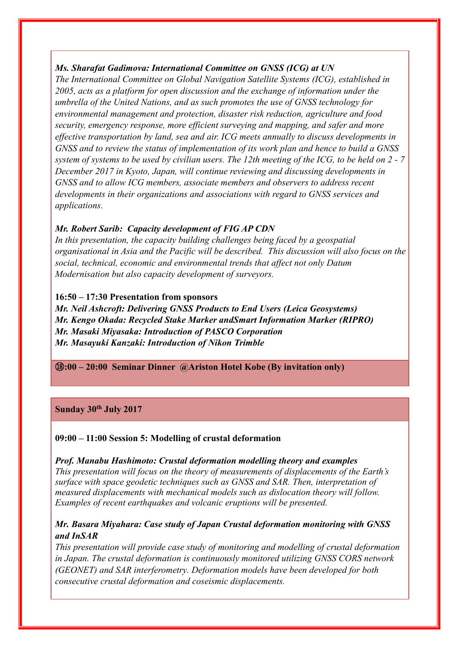# *Ms. Sharafat Gadimova: International Committee on GNSS (ICG) at UN*

*The International Committee on Global Navigation Satellite Systems (ICG), established in 2005, acts as a platform for open discussion and the exchange of information under the umbrella of the United Nations, and as such promotes the use of GNSS technology for environmental management and protection, disaster risk reduction, agriculture and food security, emergency response, more efficient surveying and mapping, and safer and more effective transportation by land, sea and air. ICG meets annually to discuss developments in GNSS and to review the status of implementation of its work plan and hence to build a GNSS system of systems to be used by civilian users. The 12th meeting of the ICG, to be held on 2 - 7 December 2017 in Kyoto, Japan, will continue reviewing and discussing developments in GNSS and to allow ICG members, associate members and observers to address recent developments in their organizations and associations with regard to GNSS services and applications.*

# *Mr. Robert Sarib: Capacity development of FIG AP CDN*

*In this presentation, the capacity building challenges being faced by a geospatial organisational in Asia and the Pacific will be described. This discussion will also focus on the social, technical, economic and environmental trends that affect not only Datum Modernisation but also capacity development of surveyors.*

#### **16:50 – 17:30 Presentation from sponsors**

*Mr. Neil Ashcroft: Delivering GNSS Products to End Users (Leica Geosystems) Mr. Kengo Okada: Recycled Stake Marker andSmart Information Marker (RIPRO) Mr. Masaki Miyasaka: Introduction of PASCO Corporation Mr. Masayuki Kanzaki: Introduction of Nikon Trimble*

⑱**:00 – 20:00 Seminar Dinner @Ariston Hotel Kobe (By invitation only)**

# **Sunday 30th July 2017**

#### **09:00 – 11:00 Session 5: Modelling of crustal deformation**

*Prof. Manabu Hashimoto: Crustal deformation modelling theory and examples This presentation will focus on the theory of measurements of displacements of the Earth's surface with space geodetic techniques such as GNSS and SAR. Then, interpretation of measured displacements with mechanical models such as dislocation theory will follow. Examples of recent earthquakes and volcanic eruptions will be presented.* 

# *Mr. Basara Miyahara: Case study of Japan Crustal deformation monitoring with GNSS and InSAR*

*This presentation will provide case study of monitoring and modelling of crustal deformation in Japan. The crustal deformation is continuously monitored utilizing GNSS CORS network (GEONET) and SAR interferometry. Deformation models have been developed for both consecutive crustal deformation and coseismic displacements.*